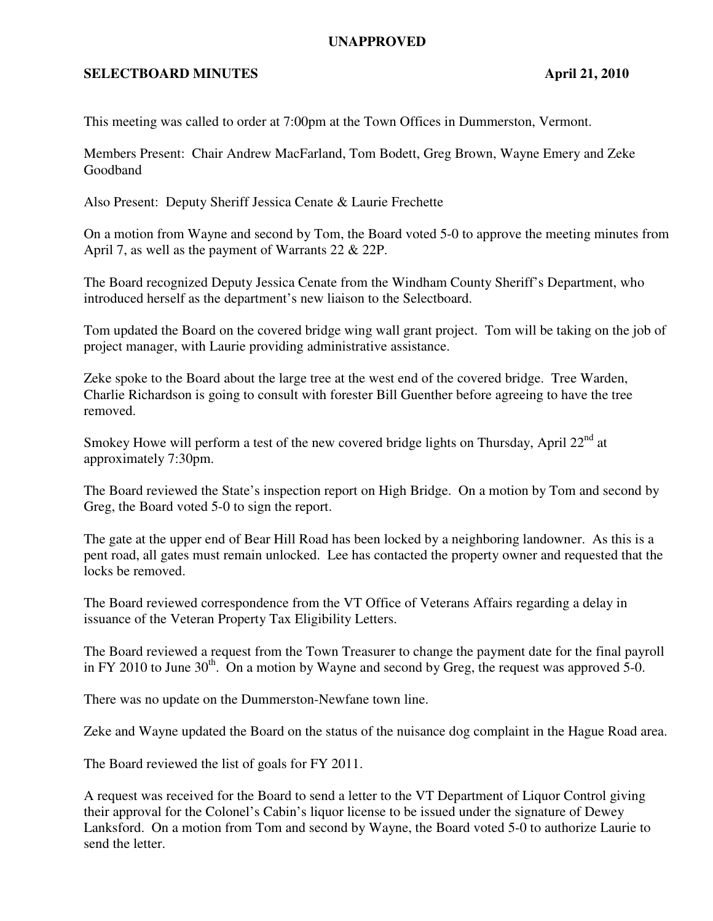## **UNAPPROVED**

## **SELECTBOARD MINUTES** April 21, 2010

This meeting was called to order at 7:00pm at the Town Offices in Dummerston, Vermont.

Members Present: Chair Andrew MacFarland, Tom Bodett, Greg Brown, Wayne Emery and Zeke Goodband

Also Present: Deputy Sheriff Jessica Cenate & Laurie Frechette

On a motion from Wayne and second by Tom, the Board voted 5-0 to approve the meeting minutes from April 7, as well as the payment of Warrants 22 & 22P.

The Board recognized Deputy Jessica Cenate from the Windham County Sheriff's Department, who introduced herself as the department's new liaison to the Selectboard.

Tom updated the Board on the covered bridge wing wall grant project. Tom will be taking on the job of project manager, with Laurie providing administrative assistance.

Zeke spoke to the Board about the large tree at the west end of the covered bridge. Tree Warden, Charlie Richardson is going to consult with forester Bill Guenther before agreeing to have the tree removed.

Smokey Howe will perform a test of the new covered bridge lights on Thursday, April  $22<sup>nd</sup>$  at approximately 7:30pm.

The Board reviewed the State's inspection report on High Bridge. On a motion by Tom and second by Greg, the Board voted 5-0 to sign the report.

The gate at the upper end of Bear Hill Road has been locked by a neighboring landowner. As this is a pent road, all gates must remain unlocked. Lee has contacted the property owner and requested that the locks be removed.

The Board reviewed correspondence from the VT Office of Veterans Affairs regarding a delay in issuance of the Veteran Property Tax Eligibility Letters.

The Board reviewed a request from the Town Treasurer to change the payment date for the final payroll in FY 2010 to June  $30^{th}$ . On a motion by Wayne and second by Greg, the request was approved 5-0.

There was no update on the Dummerston-Newfane town line.

Zeke and Wayne updated the Board on the status of the nuisance dog complaint in the Hague Road area.

The Board reviewed the list of goals for FY 2011.

A request was received for the Board to send a letter to the VT Department of Liquor Control giving their approval for the Colonel's Cabin's liquor license to be issued under the signature of Dewey Lanksford. On a motion from Tom and second by Wayne, the Board voted 5-0 to authorize Laurie to send the letter.